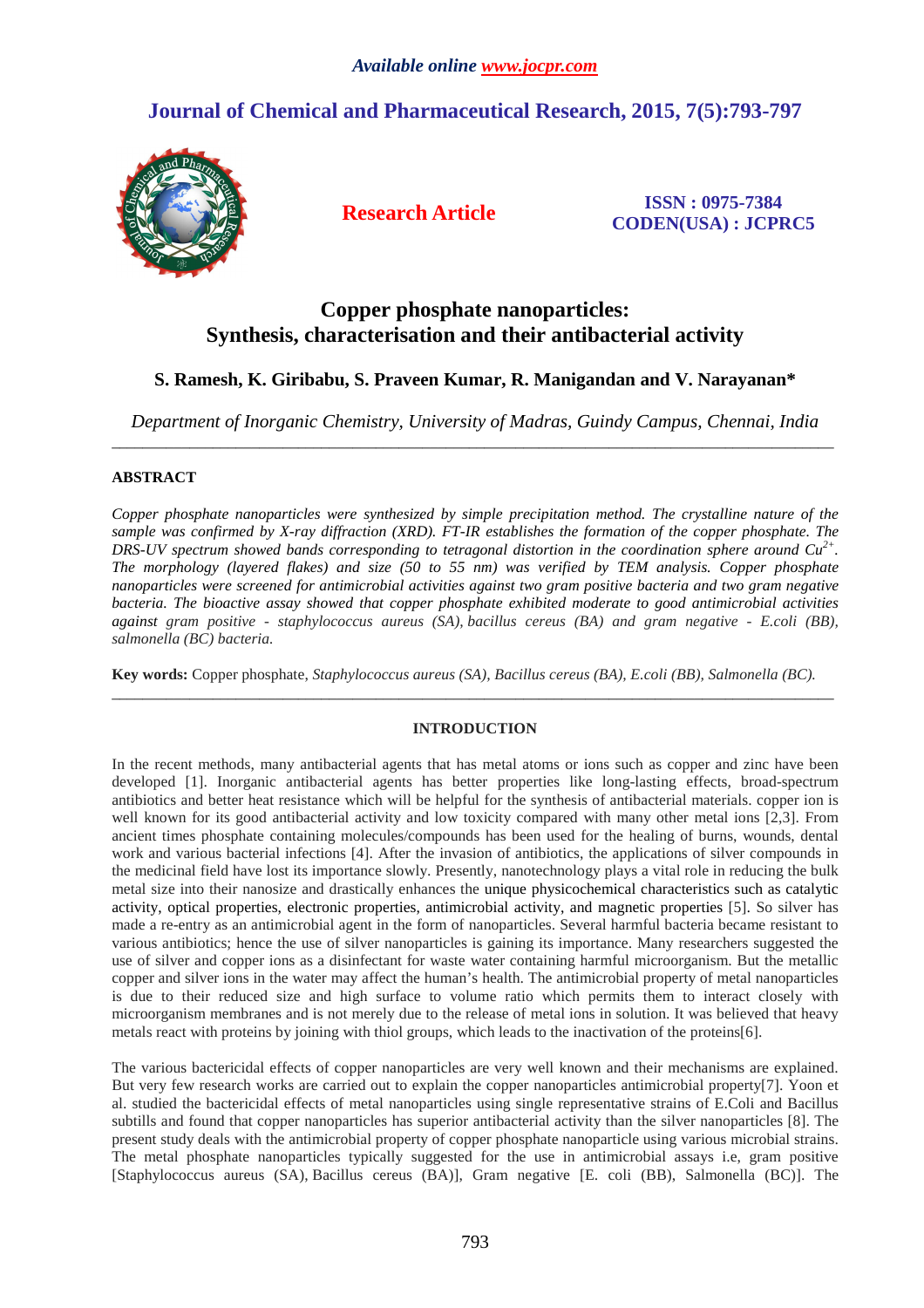# **Journal of Chemical and Pharmaceutical Research, 2015, 7(5):793-797**



**Research Article ISSN : 0975-7384 CODEN(USA) : JCPRC5**

## **Copper phosphate nanoparticles: Synthesis, characterisation and their antibacterial activity**

## **S. Ramesh, K. Giribabu, S. Praveen Kumar, R. Manigandan and V. Narayanan\***

*Department of Inorganic Chemistry, University of Madras, Guindy Campus, Chennai, India*  \_\_\_\_\_\_\_\_\_\_\_\_\_\_\_\_\_\_\_\_\_\_\_\_\_\_\_\_\_\_\_\_\_\_\_\_\_\_\_\_\_\_\_\_\_\_\_\_\_\_\_\_\_\_\_\_\_\_\_\_\_\_\_\_\_\_\_\_\_\_\_\_\_\_\_\_\_\_\_\_\_\_\_\_\_\_\_\_\_\_\_\_\_

### **ABSTRACT**

*Copper phosphate nanoparticles were synthesized by simple precipitation method. The crystalline nature of the sample was confirmed by X-ray diffraction (XRD). FT-IR establishes the formation of the copper phosphate. The DRS-UV spectrum showed bands corresponding to tetragonal distortion in the coordination sphere around Cu2+ . The morphology (layered flakes) and size (50 to 55 nm) was verified by TEM analysis. Copper phosphate nanoparticles were screened for antimicrobial activities against two gram positive bacteria and two gram negative bacteria. The bioactive assay showed that copper phosphate exhibited moderate to good antimicrobial activities against gram positive - staphylococcus aureus (SA), bacillus cereus (BA) and gram negative - E.coli (BB), salmonella (BC) bacteria.* 

**Key words:** Copper phosphate, *Staphylococcus aureus (SA), Bacillus cereus (BA), E.coli (BB), Salmonella (BC).*

### **INTRODUCTION**

\_\_\_\_\_\_\_\_\_\_\_\_\_\_\_\_\_\_\_\_\_\_\_\_\_\_\_\_\_\_\_\_\_\_\_\_\_\_\_\_\_\_\_\_\_\_\_\_\_\_\_\_\_\_\_\_\_\_\_\_\_\_\_\_\_\_\_\_\_\_\_\_\_\_\_\_\_\_\_\_\_\_\_\_\_\_\_\_\_\_\_\_\_

In the recent methods, many antibacterial agents that has metal atoms or ions such as copper and zinc have been developed [1]. Inorganic antibacterial agents has better properties like long-lasting effects, broad-spectrum antibiotics and better heat resistance which will be helpful for the synthesis of antibacterial materials. copper ion is well known for its good antibacterial activity and low toxicity compared with many other metal ions [2,3]. From ancient times phosphate containing molecules/compounds has been used for the healing of burns, wounds, dental work and various bacterial infections [4]. After the invasion of antibiotics, the applications of silver compounds in the medicinal field have lost its importance slowly. Presently, nanotechnology plays a vital role in reducing the bulk metal size into their nanosize and drastically enhances the unique physicochemical characteristics such as catalytic activity, optical properties, electronic properties, antimicrobial activity, and magnetic properties [5]. So silver has made a re-entry as an antimicrobial agent in the form of nanoparticles. Several harmful bacteria became resistant to various antibiotics; hence the use of silver nanoparticles is gaining its importance. Many researchers suggested the use of silver and copper ions as a disinfectant for waste water containing harmful microorganism. But the metallic copper and silver ions in the water may affect the human's health. The antimicrobial property of metal nanoparticles is due to their reduced size and high surface to volume ratio which permits them to interact closely with microorganism membranes and is not merely due to the release of metal ions in solution. It was believed that heavy metals react with proteins by joining with thiol groups, which leads to the inactivation of the proteins[6].

The various bactericidal effects of copper nanoparticles are very well known and their mechanisms are explained. But very few research works are carried out to explain the copper nanoparticles antimicrobial property[7]. Yoon et al. studied the bactericidal effects of metal nanoparticles using single representative strains of E.Coli and Bacillus subtills and found that copper nanoparticles has superior antibacterial activity than the silver nanoparticles [8]. The present study deals with the antimicrobial property of copper phosphate nanoparticle using various microbial strains. The metal phosphate nanoparticles typically suggested for the use in antimicrobial assays i.e, gram positive [Staphylococcus aureus (SA), Bacillus cereus (BA)], Gram negative [E. coli (BB), Salmonella (BC)]. The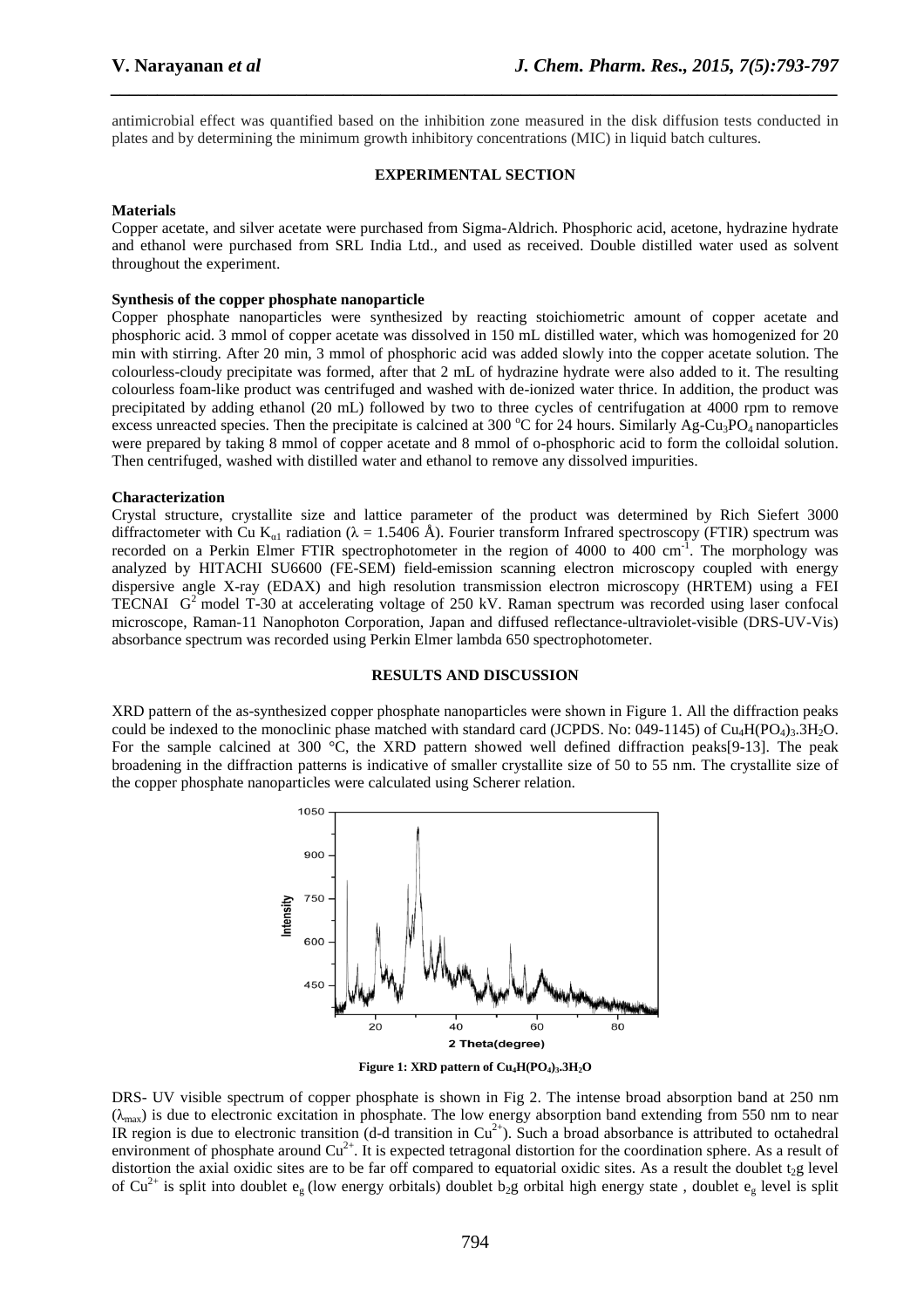antimicrobial effect was quantified based on the inhibition zone measured in the disk diffusion tests conducted in plates and by determining the minimum growth inhibitory concentrations (MIC) in liquid batch cultures.

*\_\_\_\_\_\_\_\_\_\_\_\_\_\_\_\_\_\_\_\_\_\_\_\_\_\_\_\_\_\_\_\_\_\_\_\_\_\_\_\_\_\_\_\_\_\_\_\_\_\_\_\_\_\_\_\_\_\_\_\_\_\_\_\_\_\_\_\_\_\_\_\_\_\_\_\_\_\_*

#### **EXPERIMENTAL SECTION**

#### **Materials**

Copper acetate, and silver acetate were purchased from Sigma-Aldrich. Phosphoric acid, acetone, hydrazine hydrate and ethanol were purchased from SRL India Ltd., and used as received. Double distilled water used as solvent throughout the experiment.

#### **Synthesis of the copper phosphate nanoparticle**

Copper phosphate nanoparticles were synthesized by reacting stoichiometric amount of copper acetate and phosphoric acid. 3 mmol of copper acetate was dissolved in 150 mL distilled water, which was homogenized for 20 min with stirring. After 20 min, 3 mmol of phosphoric acid was added slowly into the copper acetate solution. The colourless-cloudy precipitate was formed, after that 2 mL of hydrazine hydrate were also added to it. The resulting colourless foam-like product was centrifuged and washed with de-ionized water thrice. In addition, the product was precipitated by adding ethanol (20 mL) followed by two to three cycles of centrifugation at 4000 rpm to remove excess unreacted species. Then the precipitate is calcined at 300  $^{\circ}$ C for 24 hours. Similarly Ag-Cu<sub>3</sub>PO<sub>4</sub> nanoparticles were prepared by taking 8 mmol of copper acetate and 8 mmol of o-phosphoric acid to form the colloidal solution. Then centrifuged, washed with distilled water and ethanol to remove any dissolved impurities.

#### **Characterization**

Crystal structure, crystallite size and lattice parameter of the product was determined by Rich Siefert 3000 diffractometer with Cu K<sub>α1</sub> radiation ( $\lambda = 1.5406$  Å). Fourier transform Infrared spectroscopy (FTIR) spectrum was recorded on a Perkin Elmer FTIR spectrophotometer in the region of 4000 to 400 cm<sup>-1</sup>. The morphology was analyzed by HITACHI SU6600 (FE-SEM) field-emission scanning electron microscopy coupled with energy dispersive angle X-ray (EDAX) and high resolution transmission electron microscopy (HRTEM) using a FEI TECNAI  $G<sup>2</sup>$  model T-30 at accelerating voltage of 250 kV. Raman spectrum was recorded using laser confocal microscope, Raman-11 Nanophoton Corporation, Japan and diffused reflectance-ultraviolet-visible (DRS-UV-Vis) absorbance spectrum was recorded using Perkin Elmer lambda 650 spectrophotometer.

#### **RESULTS AND DISCUSSION**

XRD pattern of the as-synthesized copper phosphate nanoparticles were shown in Figure 1. All the diffraction peaks could be indexed to the monoclinic phase matched with standard card (JCPDS. No: 049-1145) of  $Cu_4H(PO_4)3.3H_2O$ . For the sample calcined at 300  $\degree$ C, the XRD pattern showed well defined diffraction peaks[9-13]. The peak broadening in the diffraction patterns is indicative of smaller crystallite size of 50 to 55 nm. The crystallite size of the copper phosphate nanoparticles were calculated using Scherer relation.





DRS- UV visible spectrum of copper phosphate is shown in Fig 2. The intense broad absorption band at 250 nm  $(\lambda_{\text{max}})$  is due to electronic excitation in phosphate. The low energy absorption band extending from 550 nm to near IR region is due to electronic transition (d-d transition in  $Cu^{2+}$ ). Such a broad absorbance is attributed to octahedral environment of phosphate around  $Cu^{2+}$ . It is expected tetragonal distortion for the coordination sphere. As a result of distortion the axial oxidic sites are to be far off compared to equatorial oxidic sites. As a result the doublet  $t_2$ g level of  $Cu^{2+}$  is split into doublet  $e_g$  (low energy orbitals) doublet  $b_2g$  orbital high energy state, doublet  $e_g$  level is split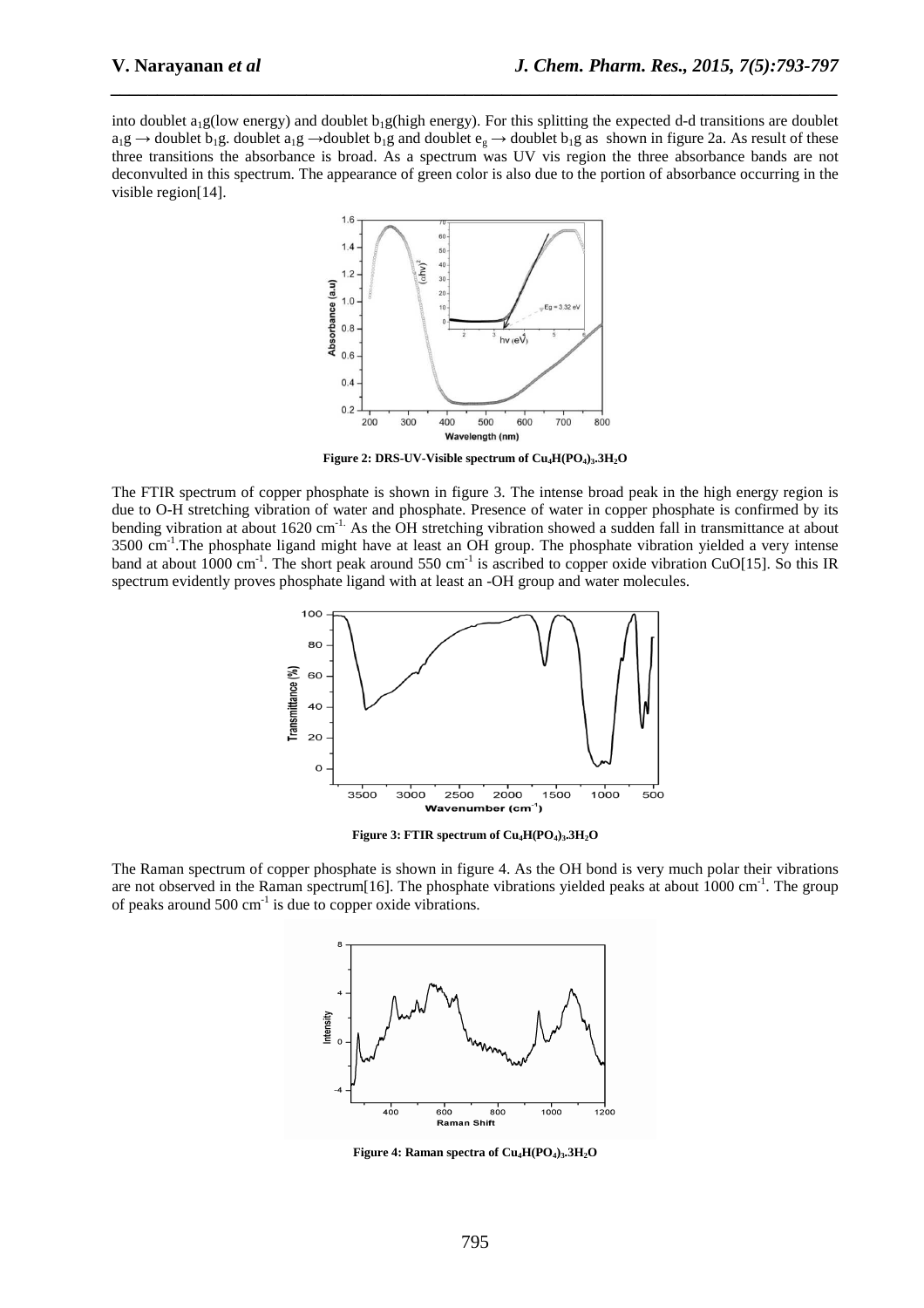into doublet  $a_1g$ (low energy) and doublet  $b_1g$ (high energy). For this splitting the expected d-d transitions are doublet  $a_1g \rightarrow$  doublet  $b_1g$ . doublet  $a_1g \rightarrow$  doublet  $b_1g$  and doublet  $e_g \rightarrow$  doublet  $b_1g$  as shown in figure 2a. As result of these three transitions the absorbance is broad. As a spectrum was UV vis region the three absorbance bands are not deconvulted in this spectrum. The appearance of green color is also due to the portion of absorbance occurring in the visible region[14].

*\_\_\_\_\_\_\_\_\_\_\_\_\_\_\_\_\_\_\_\_\_\_\_\_\_\_\_\_\_\_\_\_\_\_\_\_\_\_\_\_\_\_\_\_\_\_\_\_\_\_\_\_\_\_\_\_\_\_\_\_\_\_\_\_\_\_\_\_\_\_\_\_\_\_\_\_\_\_*



**Figure 2: DRS-UV-Visible spectrum of Cu4H(PO4)3.3H2O** 

The FTIR spectrum of copper phosphate is shown in figure 3. The intense broad peak in the high energy region is due to O-H stretching vibration of water and phosphate. Presence of water in copper phosphate is confirmed by its bending vibration at about 1620 cm<sup>-1.</sup> As the OH stretching vibration showed a sudden fall in transmittance at about 3500 cm-1.The phosphate ligand might have at least an OH group. The phosphate vibration yielded a very intense band at about 1000 cm<sup>-1</sup>. The short peak around 550 cm<sup>-1</sup> is ascribed to copper oxide vibration CuO[15]. So this IR spectrum evidently proves phosphate ligand with at least an -OH group and water molecules.



**Figure 3: FTIR spectrum of Cu4H(PO4)3.3H2O** 

The Raman spectrum of copper phosphate is shown in figure 4. As the OH bond is very much polar their vibrations are not observed in the Raman spectrum[16]. The phosphate vibrations yielded peaks at about 1000 cm<sup>-1</sup>. The group of peaks around  $500 \text{ cm}^{-1}$  is due to copper oxide vibrations.



**Figure 4: Raman spectra of Cu4H(PO4)3.3H2O**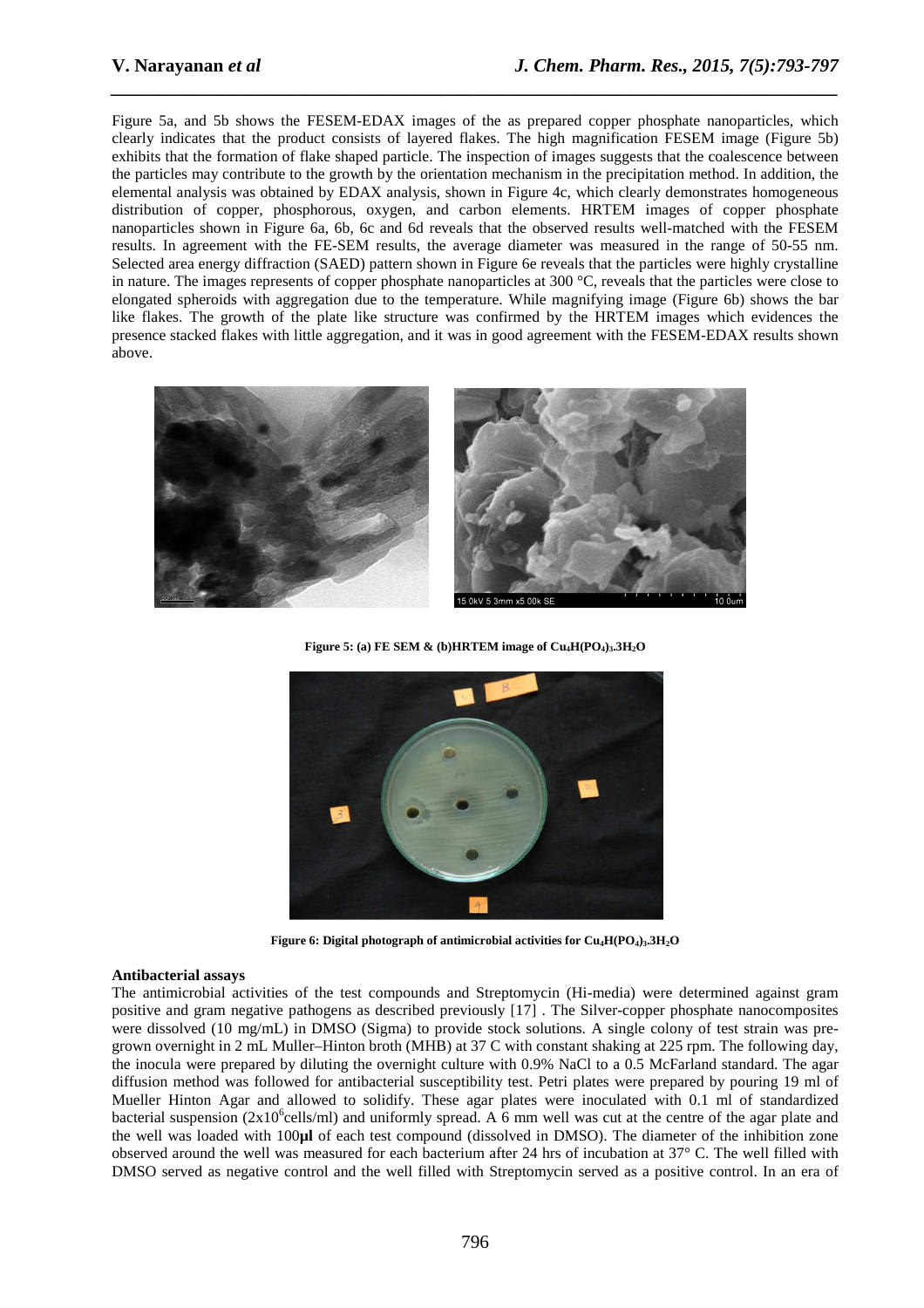Figure 5a, and 5b shows the FESEM-EDAX images of the as prepared copper phosphate nanoparticles, which clearly indicates that the product consists of layered flakes. The high magnification FESEM image (Figure 5b) exhibits that the formation of flake shaped particle. The inspection of images suggests that the coalescence between the particles may contribute to the growth by the orientation mechanism in the precipitation method. In addition, the elemental analysis was obtained by EDAX analysis, shown in Figure 4c, which clearly demonstrates homogeneous distribution of copper, phosphorous, oxygen, and carbon elements. HRTEM images of copper phosphate nanoparticles shown in Figure 6a, 6b, 6c and 6d reveals that the observed results well-matched with the FESEM results. In agreement with the FE-SEM results, the average diameter was measured in the range of 50-55 nm. Selected area energy diffraction (SAED) pattern shown in Figure 6e reveals that the particles were highly crystalline in nature. The images represents of copper phosphate nanoparticles at 300 °C, reveals that the particles were close to elongated spheroids with aggregation due to the temperature. While magnifying image (Figure 6b) shows the bar like flakes. The growth of the plate like structure was confirmed by the HRTEM images which evidences the presence stacked flakes with little aggregation, and it was in good agreement with the FESEM-EDAX results shown above.

*\_\_\_\_\_\_\_\_\_\_\_\_\_\_\_\_\_\_\_\_\_\_\_\_\_\_\_\_\_\_\_\_\_\_\_\_\_\_\_\_\_\_\_\_\_\_\_\_\_\_\_\_\_\_\_\_\_\_\_\_\_\_\_\_\_\_\_\_\_\_\_\_\_\_\_\_\_\_*



**Figure 5:** (a) FE SEM  $\&$  (b) HRTEM image of  $Cu_4H(PO_4)_3.3H_2O$ 



**Figure 6: Digital photograph of antimicrobial activities for Cu4H(PO4)3.3H2O** 

#### **Antibacterial assays**

The antimicrobial activities of the test compounds and Streptomycin (Hi-media) were determined against gram positive and gram negative pathogens as described previously [17] . The Silver-copper phosphate nanocomposites were dissolved (10 mg/mL) in DMSO (Sigma) to provide stock solutions. A single colony of test strain was pregrown overnight in 2 mL Muller–Hinton broth (MHB) at 37 C with constant shaking at 225 rpm. The following day, the inocula were prepared by diluting the overnight culture with 0.9% NaCl to a 0.5 McFarland standard. The agar diffusion method was followed for antibacterial susceptibility test. Petri plates were prepared by pouring 19 ml of Mueller Hinton Agar and allowed to solidify. These agar plates were inoculated with 0.1 ml of standardized bacterial suspension ( $2x10^6$ cells/ml) and uniformly spread. A 6 mm well was cut at the centre of the agar plate and the well was loaded with 100**µl** of each test compound (dissolved in DMSO). The diameter of the inhibition zone observed around the well was measured for each bacterium after 24 hrs of incubation at 37° C. The well filled with DMSO served as negative control and the well filled with Streptomycin served as a positive control. In an era of